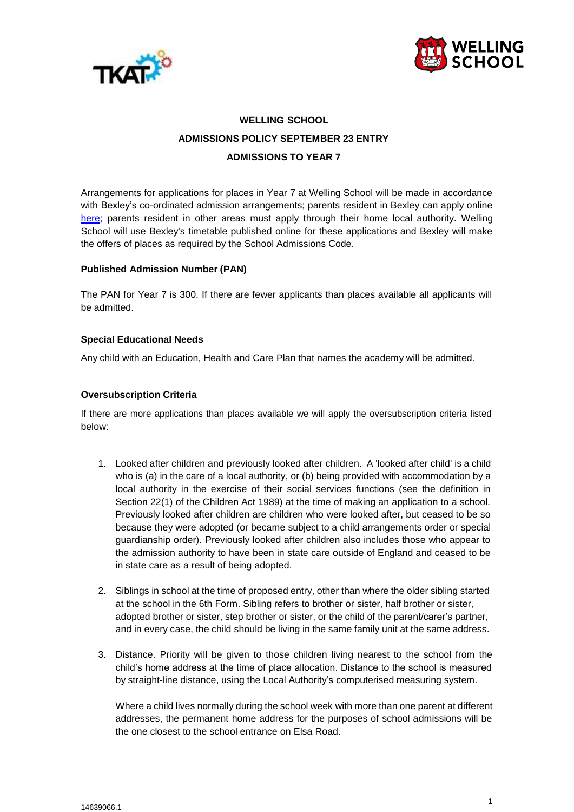



# **WELLING SCHOOL ADMISSIONS POLICY SEPTEMBER 23 ENTRY ADMISSIONS TO YEAR 7**

Arrangements for applications for places in Year 7 at Welling School will be made in accordance with Bexley's co-ordinated admission arrangements; parents resident in Bexley can apply online [here;](https://www.bexley.gov.uk/services/schools-and-education/secondary-schools/starting-secondary-school) parents resident in other areas must apply through their home local authority. Welling School will use Bexley's timetable published online for these applications and Bexley will make the offers of places as required by the School Admissions Code.

## **Published Admission Number (PAN)**

The PAN for Year 7 is 300. If there are fewer applicants than places available all applicants will be admitted.

#### **Special Educational Needs**

Any child with an Education, Health and Care Plan that names the academy will be admitted.

#### **Oversubscription Criteria**

If there are more applications than places available we will apply the oversubscription criteria listed below:

- 1. Looked after children and previously looked after children. A 'looked after child' is a child who is (a) in the care of a local authority, or (b) being provided with accommodation by a local authority in the exercise of their social services functions (see the definition in Section 22(1) of the Children Act 1989) at the time of making an application to a school. Previously looked after children are children who were looked after, but ceased to be so because they were adopted (or became subject to a child arrangements order or special guardianship order). Previously looked after children also includes those who appear to the admission authority to have been in state care outside of England and ceased to be in state care as a result of being adopted.
- 2. Siblings in school at the time of proposed entry, other than where the older sibling started at the school in the 6th Form. Sibling refers to brother or sister, half brother or sister, adopted brother or sister, step brother or sister, or the child of the parent/carer's partner, and in every case, the child should be living in the same family unit at the same address.
- 3. Distance. Priority will be given to those children living nearest to the school from the child's home address at the time of place allocation. Distance to the school is measured by straight-line distance, using the Local Authority's computerised measuring system.

Where a child lives normally during the school week with more than one parent at different addresses, the permanent home address for the purposes of school admissions will be the one closest to the school entrance on Elsa Road.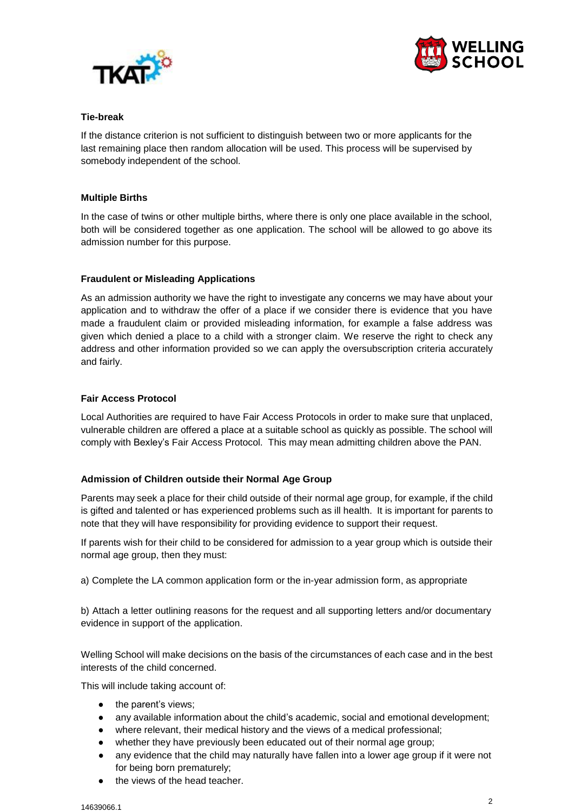



## **Tie-break**

If the distance criterion is not sufficient to distinguish between two or more applicants for the last remaining place then random allocation will be used. This process will be supervised by somebody independent of the school.

# **Multiple Births**

In the case of twins or other multiple births, where there is only one place available in the school, both will be considered together as one application. The school will be allowed to go above its admission number for this purpose.

# **Fraudulent or Misleading Applications**

As an admission authority we have the right to investigate any concerns we may have about your application and to withdraw the offer of a place if we consider there is evidence that you have made a fraudulent claim or provided misleading information, for example a false address was given which denied a place to a child with a stronger claim. We reserve the right to check any address and other information provided so we can apply the oversubscription criteria accurately and fairly.

# **Fair Access Protocol**

Local Authorities are required to have Fair Access Protocols in order to make sure that unplaced, vulnerable children are offered a place at a suitable school as quickly as possible. The school will comply with Bexley's Fair Access Protocol. This may mean admitting children above the PAN.

## **Admission of Children outside their Normal Age Group**

Parents may seek a place for their child outside of their normal age group, for example, if the child is gifted and talented or has experienced problems such as ill health. It is important for parents to note that they will have responsibility for providing evidence to support their request.

If parents wish for their child to be considered for admission to a year group which is outside their normal age group, then they must:

a) Complete the LA common application form or the in-year admission form, as appropriate

b) Attach a letter outlining reasons for the request and all supporting letters and/or documentary evidence in support of the application.

Welling School will make decisions on the basis of the circumstances of each case and in the best interests of the child concerned.

This will include taking account of:

- the parent's views;
- any available information about the child's academic, social and emotional development;
- where relevant, their medical history and the views of a medical professional;
- whether they have previously been educated out of their normal age group;
- any evidence that the child may naturally have fallen into a lower age group if it were not for being born prematurely;
- the views of the head teacher.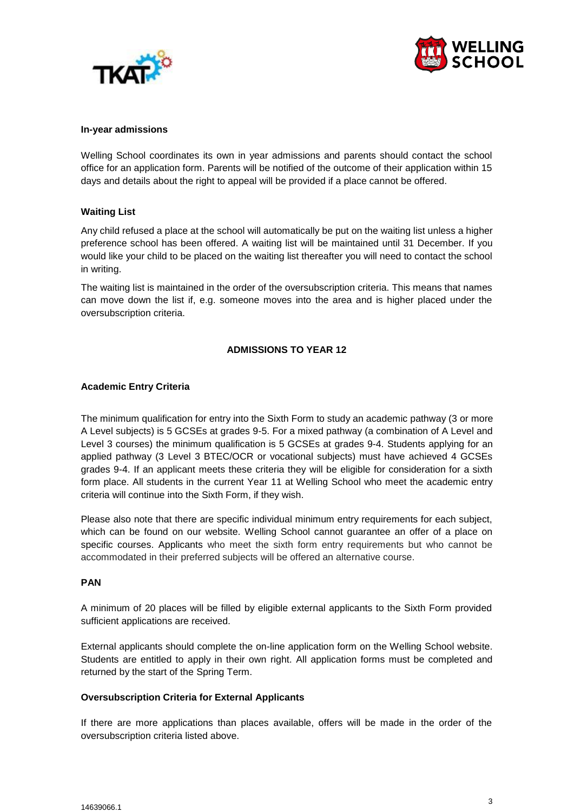



#### **In-year admissions**

Welling School coordinates its own in year admissions and parents should contact the school office for an application form. Parents will be notified of the outcome of their application within 15 days and details about the right to appeal will be provided if a place cannot be offered.

## **Waiting List**

Any child refused a place at the school will automatically be put on the waiting list unless a higher preference school has been offered. A waiting list will be maintained until 31 December. If you would like your child to be placed on the waiting list thereafter you will need to contact the school in writing.

The waiting list is maintained in the order of the oversubscription criteria. This means that names can move down the list if, e.g. someone moves into the area and is higher placed under the oversubscription criteria.

## **ADMISSIONS TO YEAR 12**

#### **Academic Entry Criteria**

The minimum qualification for entry into the Sixth Form to study an academic pathway (3 or more A Level subjects) is 5 GCSEs at grades 9-5. For a mixed pathway (a combination of A Level and Level 3 courses) the minimum qualification is 5 GCSEs at grades 9-4. Students applying for an applied pathway (3 Level 3 BTEC/OCR or vocational subjects) must have achieved 4 GCSEs grades 9-4. If an applicant meets these criteria they will be eligible for consideration for a sixth form place. All students in the current Year 11 at Welling School who meet the academic entry criteria will continue into the Sixth Form, if they wish.

Please also note that there are specific individual minimum entry requirements for each subject, which can be found on our website. Welling School cannot guarantee an offer of a place on specific courses. Applicants who meet the sixth form entry requirements but who cannot be accommodated in their preferred subjects will be offered an alternative course.

#### **PAN**

A minimum of 20 places will be filled by eligible external applicants to the Sixth Form provided sufficient applications are received.

External applicants should complete the on-line application form on the Welling School website. Students are entitled to apply in their own right. All application forms must be completed and returned by the start of the Spring Term.

#### **Oversubscription Criteria for External Applicants**

If there are more applications than places available, offers will be made in the order of the oversubscription criteria listed above.